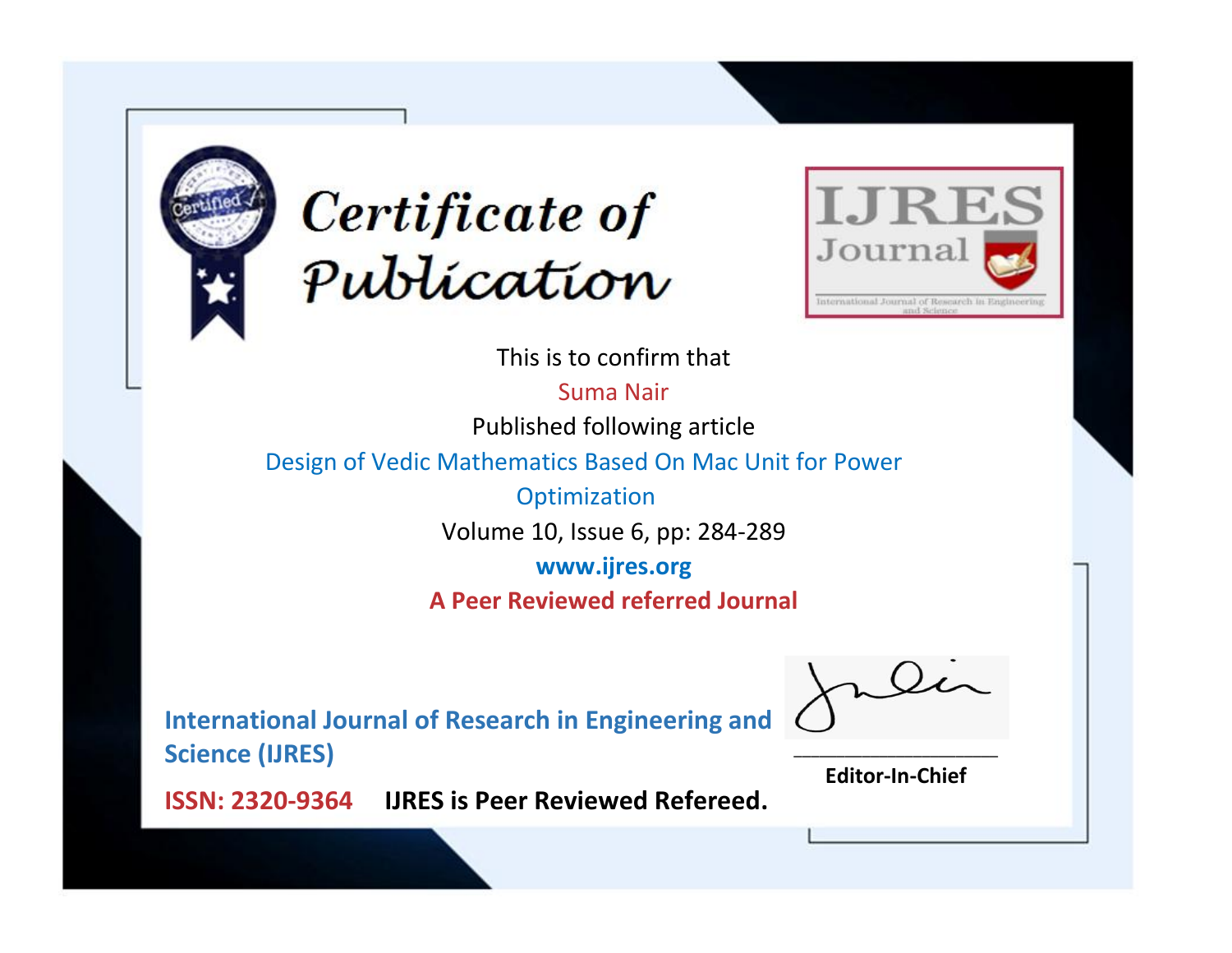



This is to confirm that

Suma Nair Published following article

Design of Vedic Mathematics Based On Mac Unit for Power

**Optimization** Volume 10, Issue 6, pp: 284-289

**www.ijres.org**

**A Peer Reviewed referred Journal**

**International Journal of Research in Engineering and Science (IJRES)**

\_\_\_\_\_\_\_\_\_\_\_\_\_\_\_\_\_\_\_\_\_\_\_\_ **Editor-In-Chief**

**Journal.**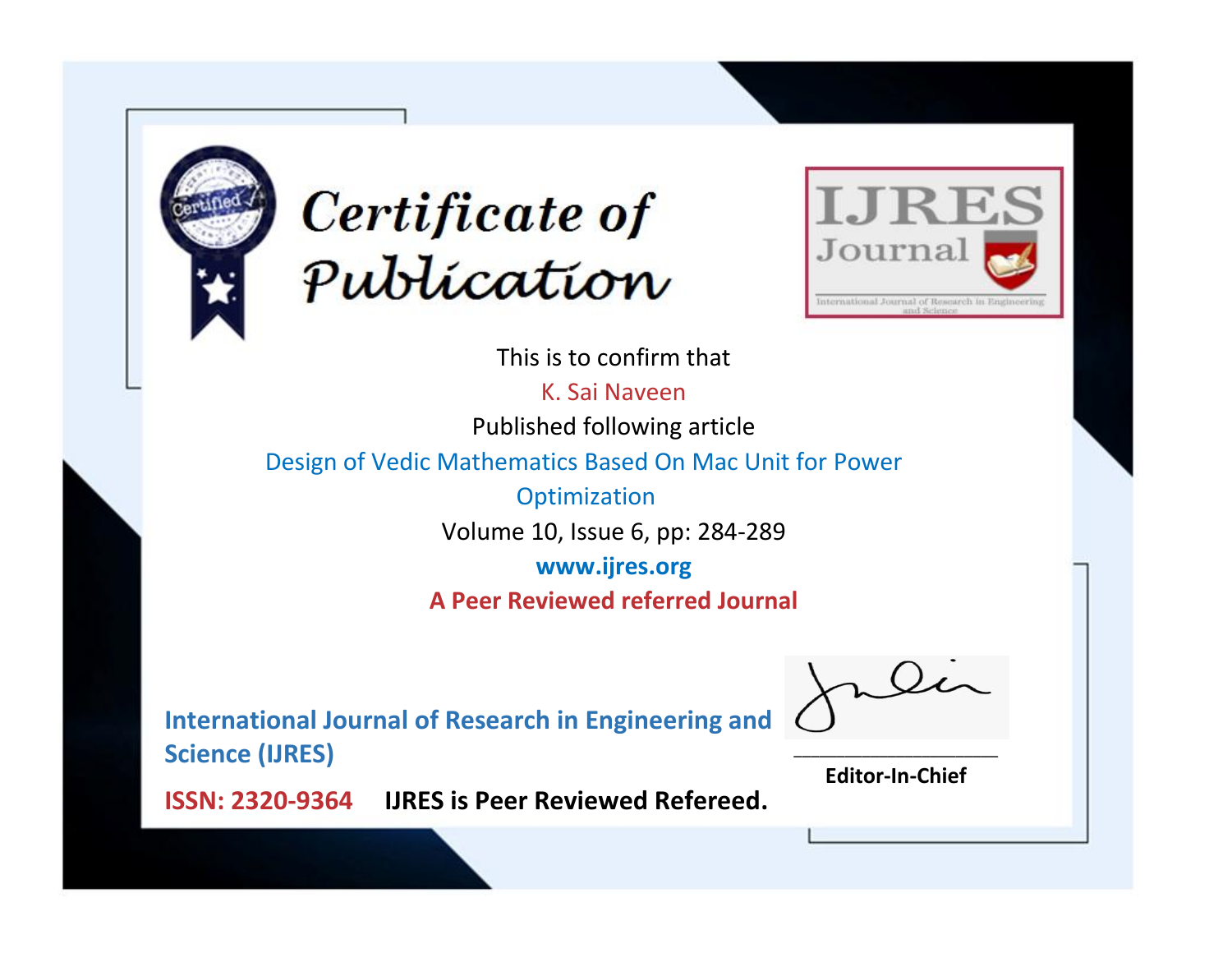



This is to confirm that

K. Sai Naveen Published following article

Design of Vedic Mathematics Based On Mac Unit for Power

**Optimization** Volume 10, Issue 6, pp: 284-289

**www.ijres.org**

**A Peer Reviewed referred Journal**

**International Journal of Research in Engineering and Science (IJRES)**

\_\_\_\_\_\_\_\_\_\_\_\_\_\_\_\_\_\_\_\_\_\_\_\_ **Editor-In-Chief**

**Journal.**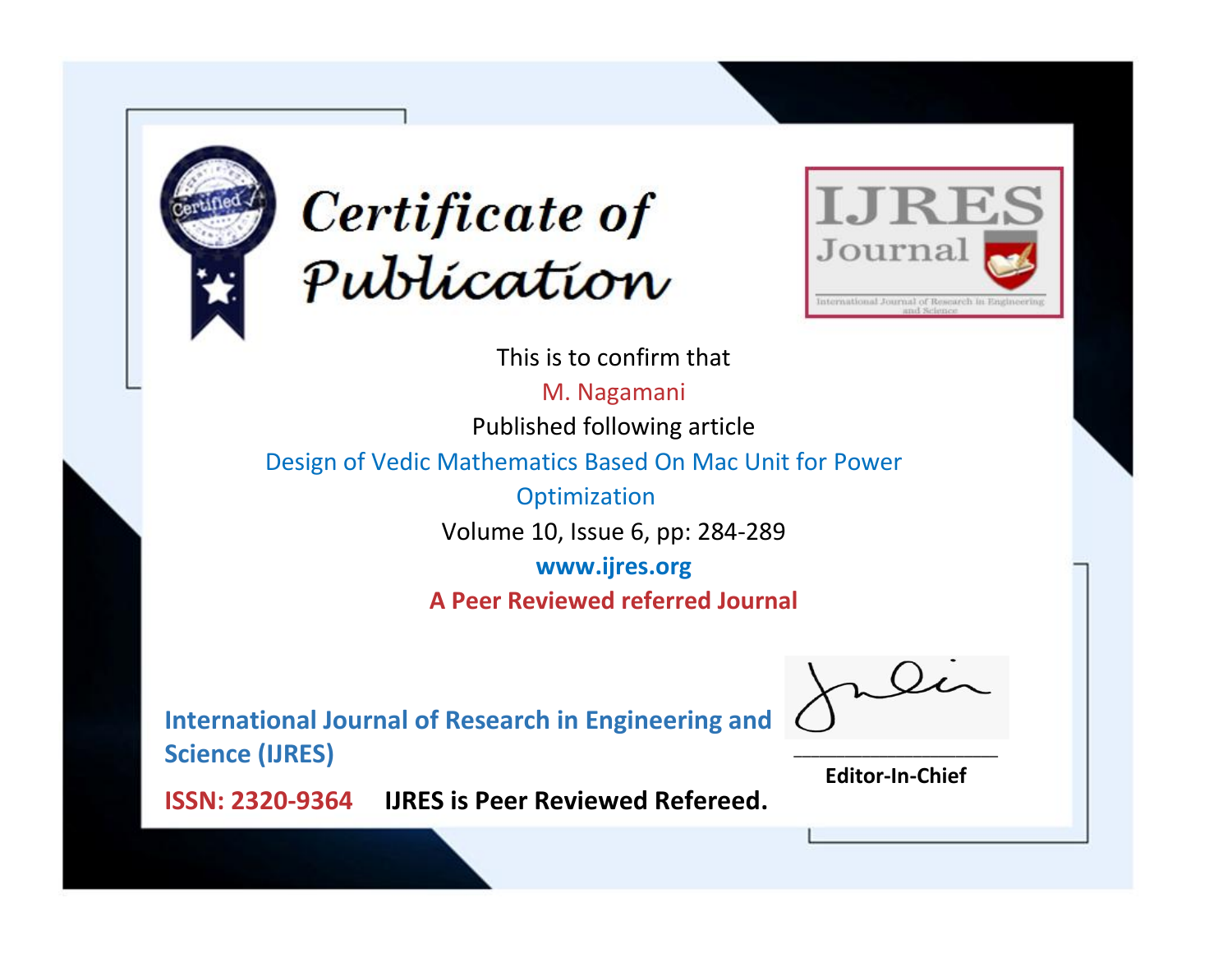



This is to confirm that

M. Nagamani Published following article

Design of Vedic Mathematics Based On Mac Unit for Power

**Optimization** Volume 10, Issue 6, pp: 284-289

**www.ijres.org**

**A Peer Reviewed referred Journal**

**International Journal of Research in Engineering and Science (IJRES)**

\_\_\_\_\_\_\_\_\_\_\_\_\_\_\_\_\_\_\_\_\_\_\_\_ **Editor-In-Chief**

**Journal.**